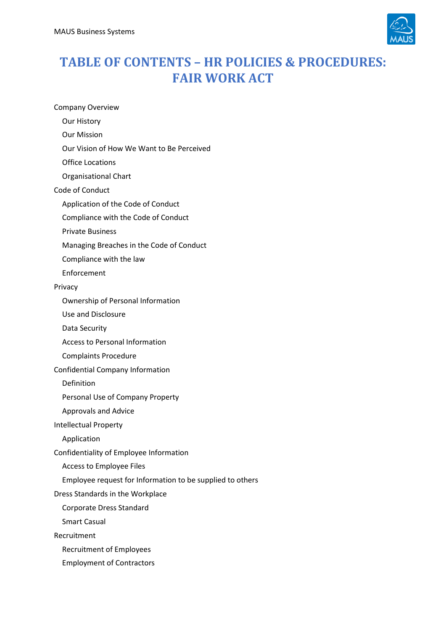

## **TABLE OF CONTENTS – HR POLICIES & PROCEDURES: FAIR WORK ACT**

Company Overview

- Our History
- Our Mission
- Our Vision of How We Want to Be Perceived
- Office Locations
- Organisational Chart
- Code of Conduct
	- Application of the Code of Conduct
	- Compliance with the Code of Conduct
	- Private Business
	- Managing Breaches in the Code of Conduct
	- Compliance with the law
	- Enforcement

## Privacy

- Ownership of Personal Information
- Use and Disclosure
- Data Security
- Access to Personal Information
- Complaints Procedure
- Confidential Company Information
	- Definition
	- Personal Use of Company Property
	- Approvals and Advice
- Intellectual Property
	- Application
- Confidentiality of Employee Information
	- Access to Employee Files
	- Employee request for Information to be supplied to others
- Dress Standards in the Workplace
	- Corporate Dress Standard
	- Smart Casual
- Recruitment
	- Recruitment of Employees
	- Employment of Contractors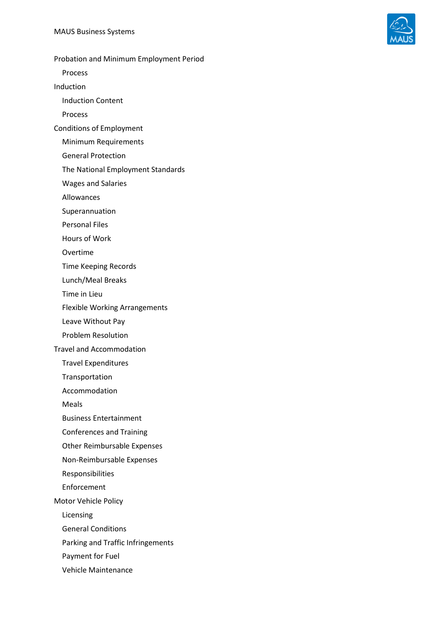

Probation and Minimum Employment Period

Process

Induction

Induction Content

Process

Conditions of Employment

Minimum Requirements

General Protection

The National Employment Standards

Wages and Salaries

Allowances

Superannuation

Personal Files

Hours of Work

Overtime

Time Keeping Records

Lunch/Meal Breaks

Time in Lieu

Flexible Working Arrangements

Leave Without Pay

Problem Resolution

Travel and Accommodation

Travel Expenditures

Transportation

Accommodation

Meals

Business Entertainment

Conferences and Training

Other Reimbursable Expenses

Non-Reimbursable Expenses

Responsibilities

Enforcement

Motor Vehicle Policy

Licensing

General Conditions

Parking and Traffic Infringements

Payment for Fuel

Vehicle Maintenance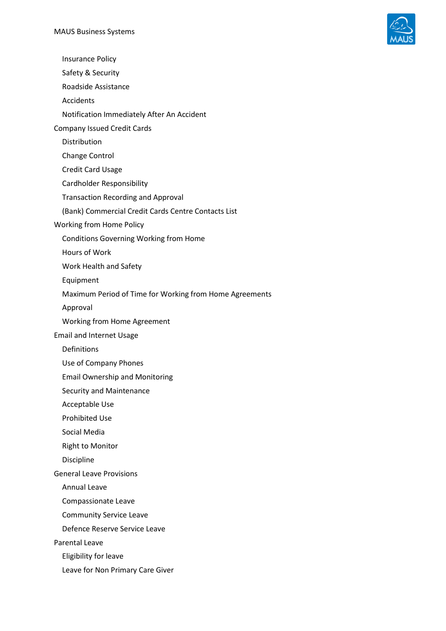

Insurance Policy

Safety & Security

Roadside Assistance

Accidents

Notification Immediately After An Accident

Company Issued Credit Cards

Distribution

Change Control

Credit Card Usage

Cardholder Responsibility

Transaction Recording and Approval

(Bank) Commercial Credit Cards Centre Contacts List

Working from Home Policy

Conditions Governing Working from Home

Hours of Work

Work Health and Safety

Equipment

Maximum Period of Time for Working from Home Agreements

Approval

Working from Home Agreement

Email and Internet Usage

Definitions

Use of Company Phones

Email Ownership and Monitoring

Security and Maintenance

Acceptable Use

Prohibited Use

Social Media

Right to Monitor

Discipline

General Leave Provisions

Annual Leave

Compassionate Leave

Community Service Leave

Defence Reserve Service Leave

Parental Leave

Eligibility for leave

Leave for Non Primary Care Giver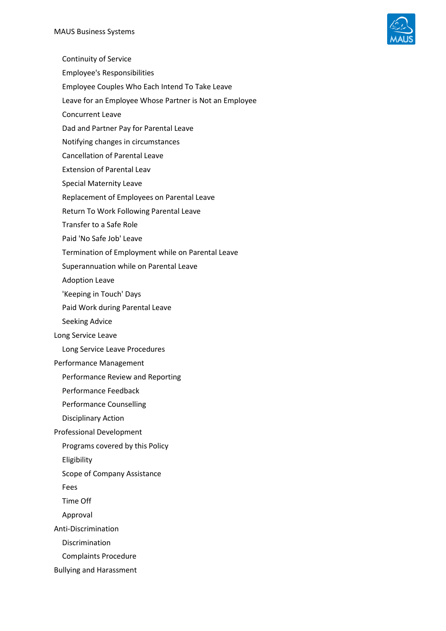

- Continuity of Service Employee's Responsibilities
- Employee Couples Who Each Intend To Take Leave
- Leave for an Employee Whose Partner is Not an Employee
- Concurrent Leave
- Dad and Partner Pay for Parental Leave
- Notifying changes in circumstances
- Cancellation of Parental Leave
- Extension of Parental Leav
- Special Maternity Leave
- Replacement of Employees on Parental Leave
- Return To Work Following Parental Leave
- Transfer to a Safe Role
- Paid 'No Safe Job' Leave
- Termination of Employment while on Parental Leave
- Superannuation while on Parental Leave
- Adoption Leave
- 'Keeping in Touch' Days
- Paid Work during Parental Leave
- Seeking Advice
- Long Service Leave
	- Long Service Leave Procedures
- Performance Management
	- Performance Review and Reporting
	- Performance Feedback
	- Performance Counselling
	- Disciplinary Action
- Professional Development
	- Programs covered by this Policy
	- Eligibility
	- Scope of Company Assistance
	- Fees
	- Time Off
	- Approval
- Anti-Discrimination
	- Discrimination
	- Complaints Procedure
- Bullying and Harassment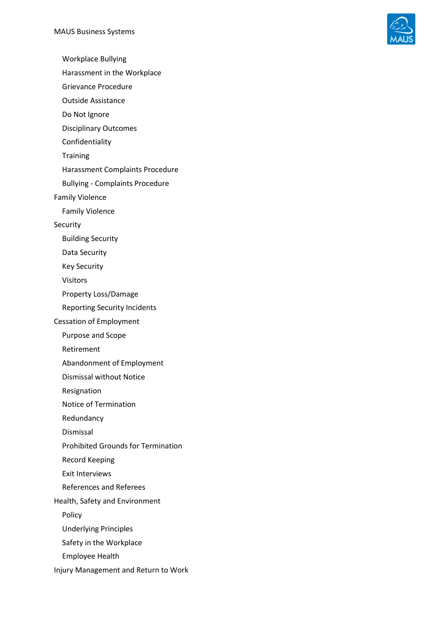

Workplace Bullying

Harassment in the Workplace

Grievance Procedure

Outside Assistance

Do Not Ignore

Disciplinary Outcomes

Confidentiality

**Training** 

Harassment Complaints Procedure

Bullying - Complaints Procedure

Family Violence

Family Violence

Security

Building Security

Data Security

Key Security

Visitors

Property Loss/Damage

Reporting Security Incidents

Cessation of Employment

Purpose and Scope

Retirement

Abandonment of Employment

Dismissal without Notice

Resignation

Notice of Termination

Redundancy

Dismissal

Prohibited Grounds for Termination

Record Keeping

Exit Interviews

References and Referees

Health, Safety and Environment

Policy

Underlying Principles

Safety in the Workplace

Employee Health

Injury Management and Return to Work